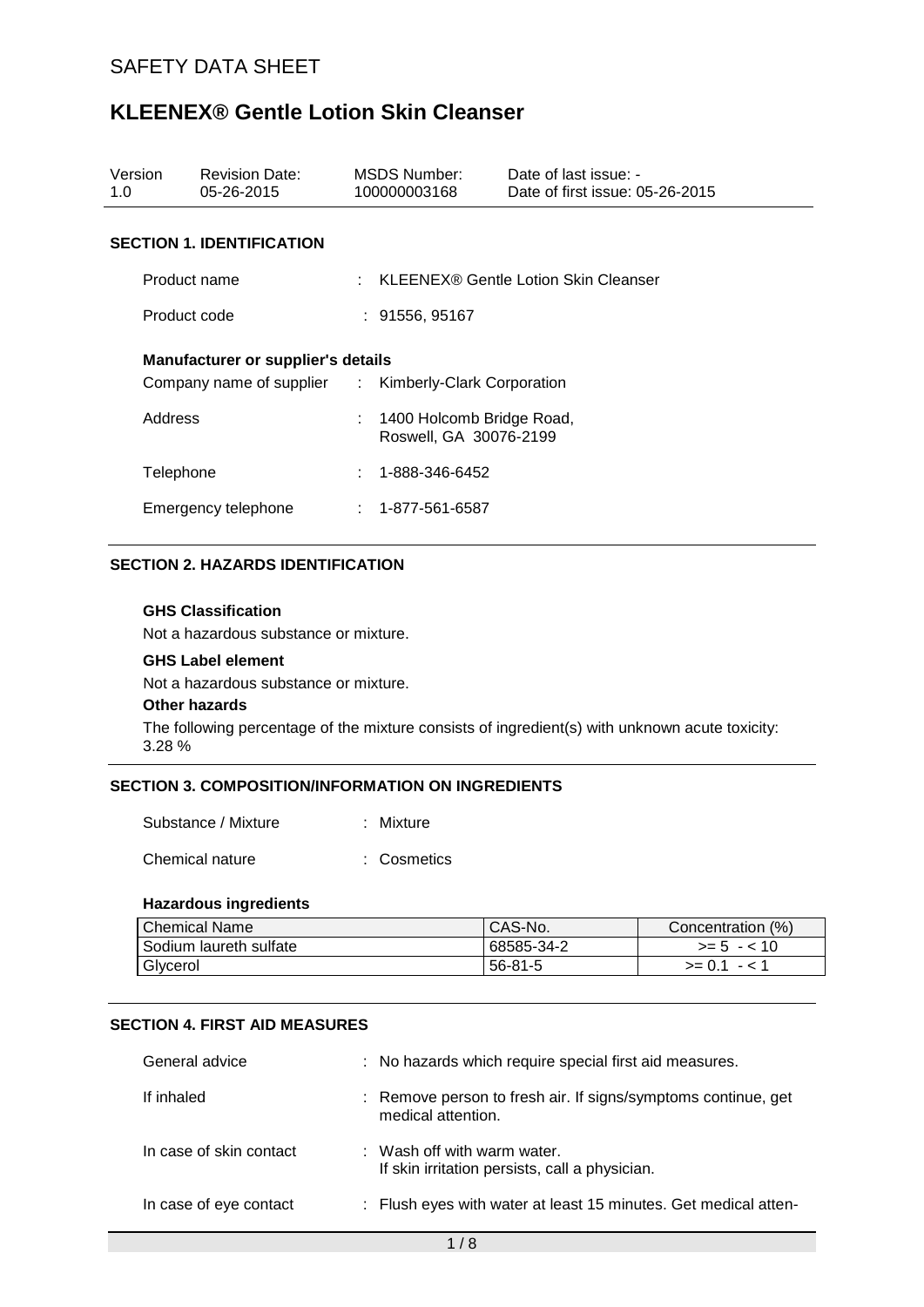| Version<br>1.0      |              | <b>Revision Date:</b><br>05-26-2015                                                                | MSDS Number:<br>100000003168                          | Date of last issue: -<br>Date of first issue: 05-26-2015 |
|---------------------|--------------|----------------------------------------------------------------------------------------------------|-------------------------------------------------------|----------------------------------------------------------|
|                     |              | <b>SECTION 1. IDENTIFICATION</b>                                                                   |                                                       |                                                          |
|                     | Product name |                                                                                                    |                                                       | : KLEENEX® Gentle Lotion Skin Cleanser                   |
|                     | Product code |                                                                                                    | : 91556, 95167                                        |                                                          |
|                     |              | <b>Manufacturer or supplier's details</b><br>Company name of supplier : Kimberly-Clark Corporation |                                                       |                                                          |
|                     | Address      |                                                                                                    | : 1400 Holcomb Bridge Road,<br>Roswell, GA 30076-2199 |                                                          |
|                     | Telephone    |                                                                                                    | 1-888-346-6452                                        |                                                          |
| Emergency telephone |              | $: 1 - 877 - 561 - 6587$                                                                           |                                                       |                                                          |

### **SECTION 2. HAZARDS IDENTIFICATION**

#### **GHS Classification**

Not a hazardous substance or mixture.

#### **GHS Label element**

Not a hazardous substance or mixture.

#### **Other hazards**

The following percentage of the mixture consists of ingredient(s) with unknown acute toxicity: 3.28 %

#### **SECTION 3. COMPOSITION/INFORMATION ON INGREDIENTS**

| : Mixture |
|-----------|
|           |

Chemical nature : Cosmetics

#### **Hazardous ingredients**

| <b>Chemical Name</b>   | <sup>1</sup> CAS-No. | Concentration (%) |
|------------------------|----------------------|-------------------|
| Sodium laureth sulfate | 68585-34-2           | $>= 5 - 10$       |
| Glycerol               | 56-81-5              | $>= 0.1 - 1.1$    |

#### **SECTION 4. FIRST AID MEASURES**

| General advice          | : No hazards which require special first aid measures.                              |
|-------------------------|-------------------------------------------------------------------------------------|
| If inhaled              | : Remove person to fresh air. If signs/symptoms continue, get<br>medical attention. |
| In case of skin contact | : Wash off with warm water.<br>If skin irritation persists, call a physician.       |
| In case of eye contact  | : Flush eyes with water at least 15 minutes. Get medical atten-                     |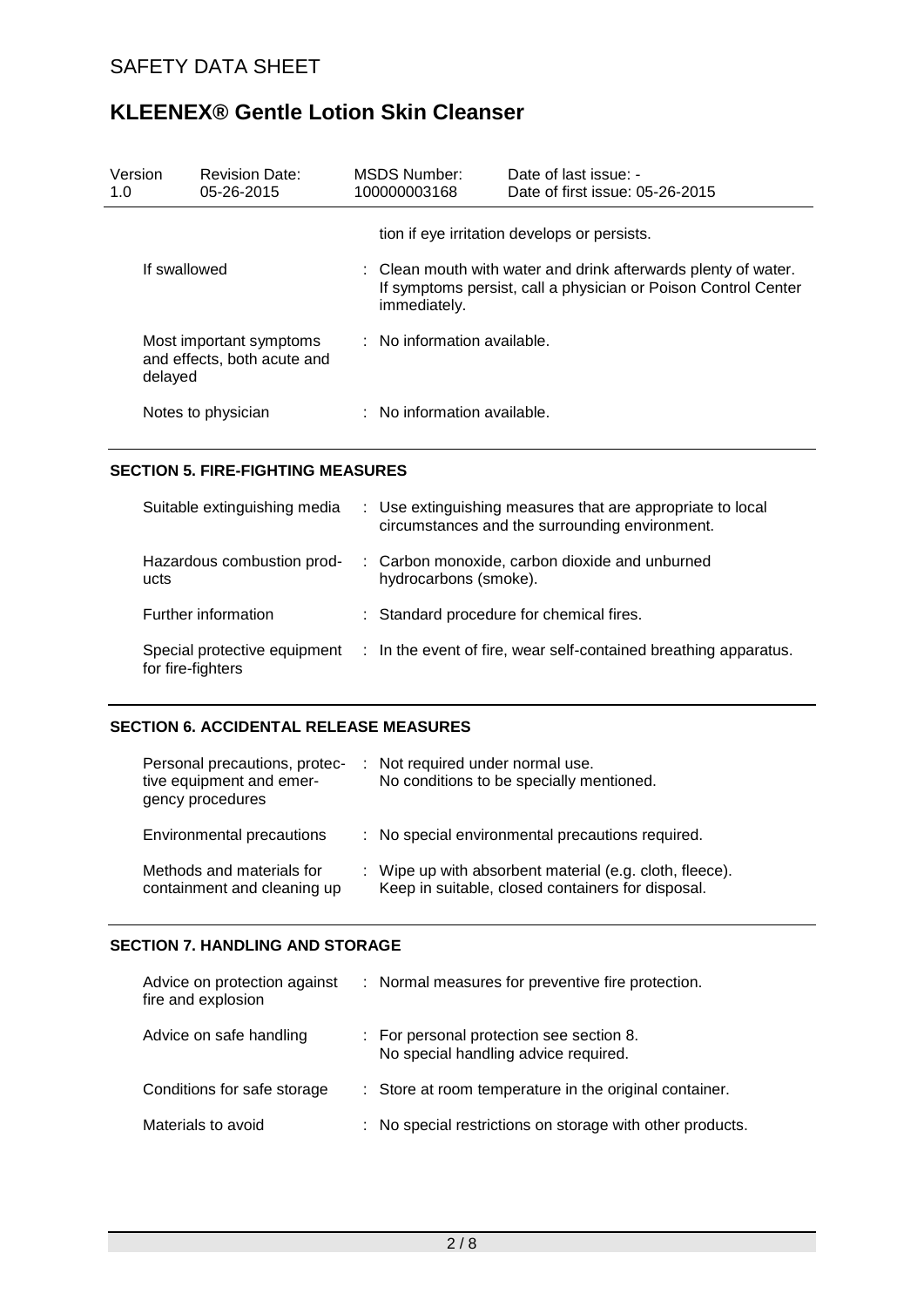| Version<br>1.0 | <b>Revision Date:</b><br>05-26-2015                               |                                                                                                                                                  | MSDS Number:<br>100000003168  | Date of last issue: -<br>Date of first issue: 05-26-2015 |
|----------------|-------------------------------------------------------------------|--------------------------------------------------------------------------------------------------------------------------------------------------|-------------------------------|----------------------------------------------------------|
|                |                                                                   |                                                                                                                                                  |                               | tion if eye irritation develops or persists.             |
| If swallowed   |                                                                   | : Clean mouth with water and drink afterwards plenty of water.<br>If symptoms persist, call a physician or Poison Control Center<br>immediately. |                               |                                                          |
|                | Most important symptoms<br>and effects, both acute and<br>delayed |                                                                                                                                                  | $:$ No information available. |                                                          |
|                | Notes to physician                                                |                                                                                                                                                  | : No information available.   |                                                          |

### **SECTION 5. FIRE-FIGHTING MEASURES**

| Suitable extinguishing media                      | : Use extinguishing measures that are appropriate to local<br>circumstances and the surrounding environment. |
|---------------------------------------------------|--------------------------------------------------------------------------------------------------------------|
| Hazardous combustion prod-<br>ucts                | : Carbon monoxide, carbon dioxide and unburned<br>hydrocarbons (smoke).                                      |
| Further information                               | : Standard procedure for chemical fires.                                                                     |
| Special protective equipment<br>for fire-fighters | : In the event of fire, wear self-contained breathing apparatus.                                             |

#### **SECTION 6. ACCIDENTAL RELEASE MEASURES**

| Personal precautions, protec-<br>tive equipment and emer-<br>gency procedures | : Not required under normal use.<br>No conditions to be specially mentioned.                                 |
|-------------------------------------------------------------------------------|--------------------------------------------------------------------------------------------------------------|
| Environmental precautions                                                     | : No special environmental precautions required.                                                             |
| Methods and materials for<br>containment and cleaning up                      | : Wipe up with absorbent material (e.g. cloth, fleece).<br>Keep in suitable, closed containers for disposal. |

### **SECTION 7. HANDLING AND STORAGE**

| Advice on protection against<br>fire and explosion | : Normal measures for preventive fire protection.                                |
|----------------------------------------------------|----------------------------------------------------------------------------------|
| Advice on safe handling                            | : For personal protection see section 8.<br>No special handling advice required. |
| Conditions for safe storage                        | : Store at room temperature in the original container.                           |
| Materials to avoid                                 | : No special restrictions on storage with other products.                        |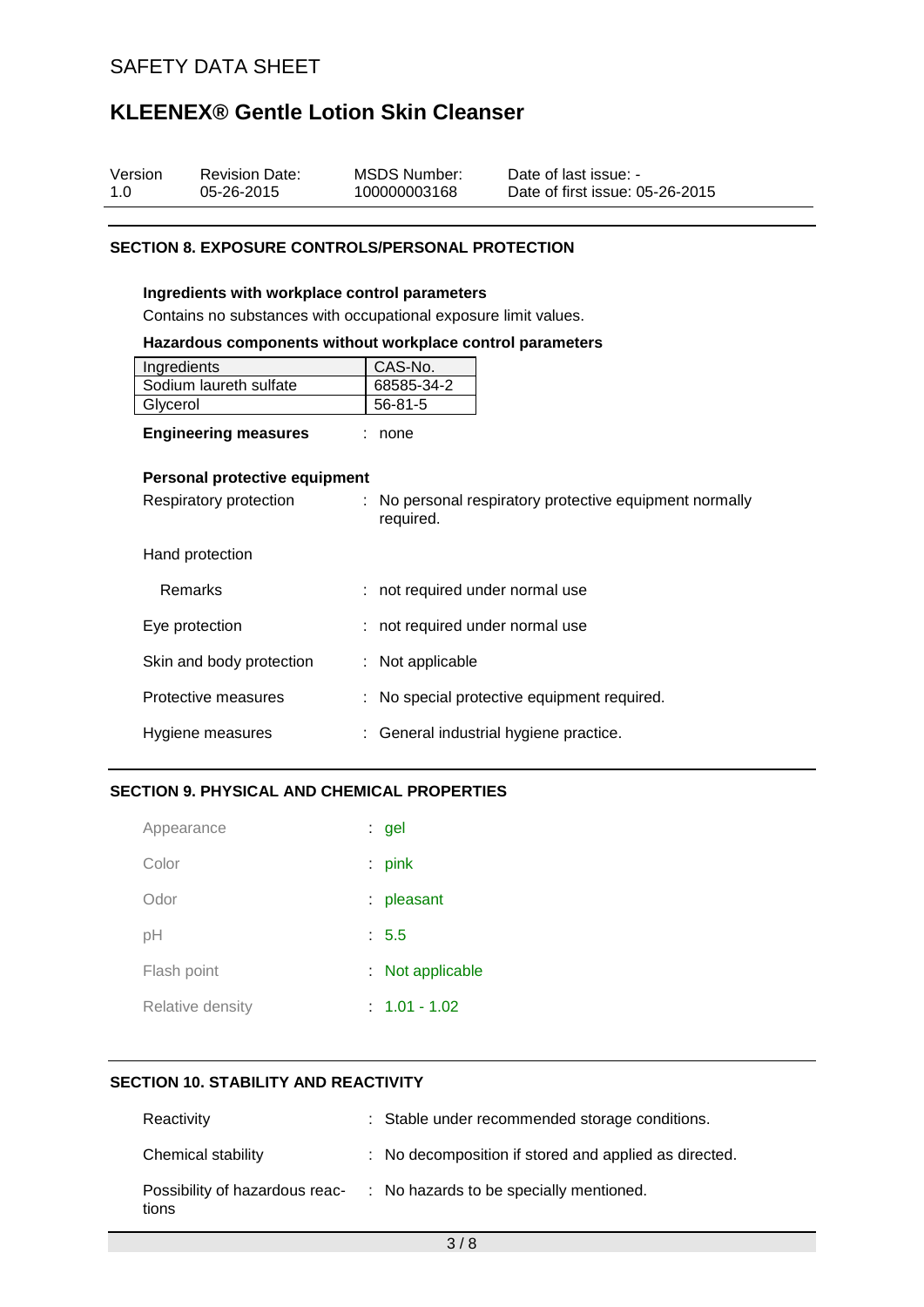| Version | <b>Revision Date:</b> | MSDS Number: | Date of last issue: -           |
|---------|-----------------------|--------------|---------------------------------|
| 1.0     | 05-26-2015            | 100000003168 | Date of first issue: 05-26-2015 |

#### **SECTION 8. EXPOSURE CONTROLS/PERSONAL PROTECTION**

#### **Ingredients with workplace control parameters**

Contains no substances with occupational exposure limit values.

#### **Hazardous components without workplace control parameters**

| Ingredients            | CAS-No.    |
|------------------------|------------|
| Sodium laureth sulfate | 68585-34-2 |
| Glycerol               | 56-81-5    |
|                        |            |

| <b>Engineering measures</b> |  | none |
|-----------------------------|--|------|
|-----------------------------|--|------|

#### **Personal protective equipment**

| Respiratory protection   |  | : No personal respiratory protective equipment normally<br>required. |
|--------------------------|--|----------------------------------------------------------------------|
| Hand protection          |  |                                                                      |
| <b>Remarks</b>           |  | : not required under normal use                                      |
| Eye protection           |  | : not required under normal use                                      |
| Skin and body protection |  | $:$ Not applicable                                                   |
| Protective measures      |  | : No special protective equipment required.                          |
| Hygiene measures         |  | : General industrial hygiene practice.                               |

## **SECTION 9. PHYSICAL AND CHEMICAL PROPERTIES**

| Appearance       | $:$ gel          |
|------------------|------------------|
| Color            | $:$ pink         |
| Odor             | : pleasant       |
| pH               | : 5.5            |
| Flash point      | : Not applicable |
| Relative density | $: 1.01 - 1.02$  |

## **SECTION 10. STABILITY AND REACTIVITY**

| Reactivity                              | : Stable under recommended storage conditions.        |
|-----------------------------------------|-------------------------------------------------------|
| Chemical stability                      | : No decomposition if stored and applied as directed. |
| Possibility of hazardous reac-<br>tions | : No hazards to be specially mentioned.               |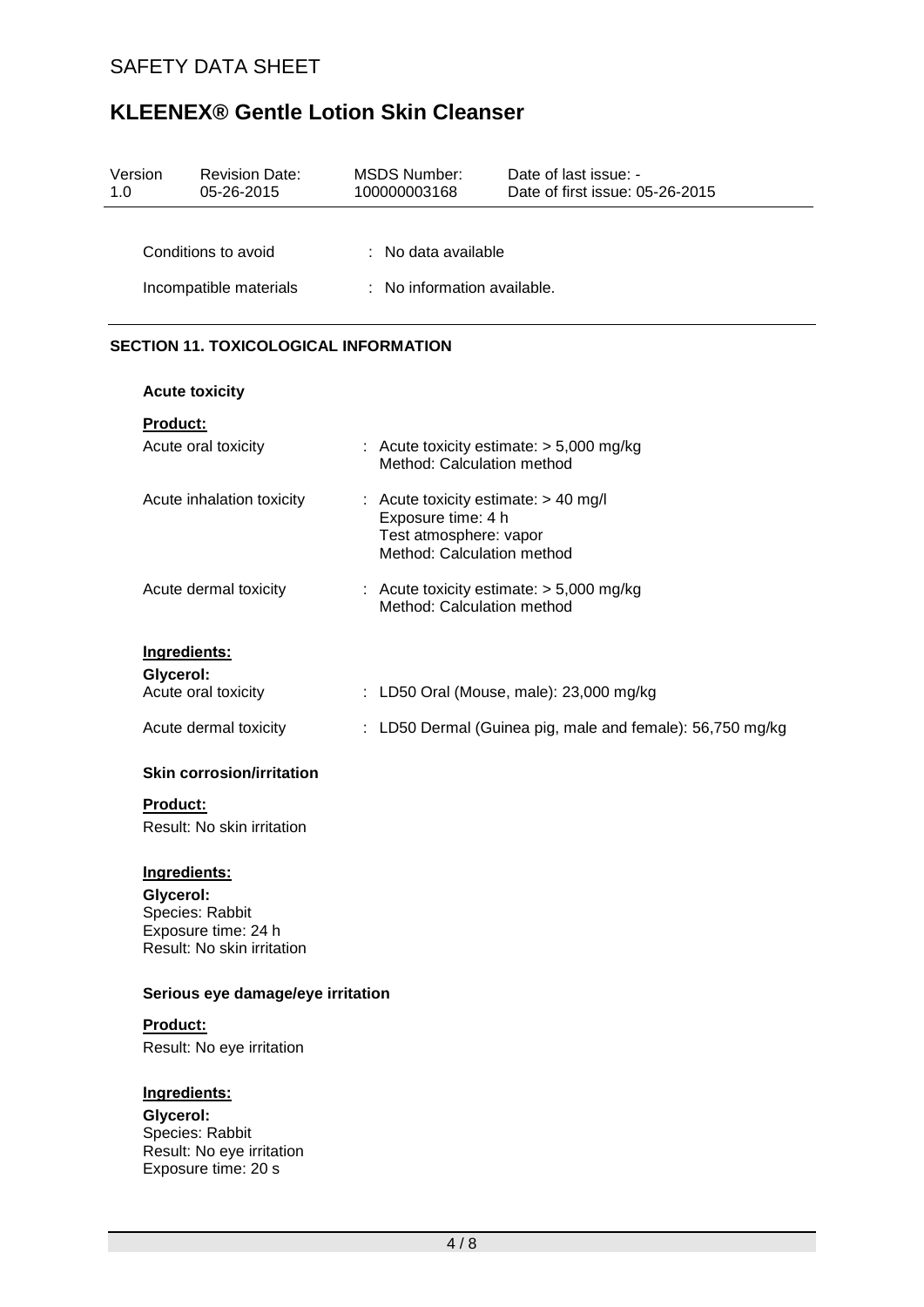| Version<br>1.0 | <b>Revision Date:</b><br>05-26-2015                                                               | <b>MSDS Number:</b><br>100000003168                                                                                  | Date of last issue: -<br>Date of first issue: 05-26-2015  |
|----------------|---------------------------------------------------------------------------------------------------|----------------------------------------------------------------------------------------------------------------------|-----------------------------------------------------------|
|                |                                                                                                   |                                                                                                                      |                                                           |
|                | Conditions to avoid                                                                               | : No data available                                                                                                  |                                                           |
|                | Incompatible materials                                                                            | : No information available.                                                                                          |                                                           |
|                | <b>SECTION 11. TOXICOLOGICAL INFORMATION</b>                                                      |                                                                                                                      |                                                           |
|                | <b>Acute toxicity</b>                                                                             |                                                                                                                      |                                                           |
|                | <b>Product:</b>                                                                                   |                                                                                                                      |                                                           |
|                | Acute oral toxicity                                                                               | Method: Calculation method                                                                                           | : Acute toxicity estimate: > 5,000 mg/kg                  |
|                | Acute inhalation toxicity                                                                         | : Acute toxicity estimate: $> 40$ mg/l<br>Exposure time: 4 h<br>Test atmosphere: vapor<br>Method: Calculation method |                                                           |
|                | Acute dermal toxicity                                                                             | Method: Calculation method                                                                                           | : Acute toxicity estimate: $> 5,000$ mg/kg                |
|                | Ingredients:                                                                                      |                                                                                                                      |                                                           |
|                | Glycerol:                                                                                         |                                                                                                                      |                                                           |
|                | Acute oral toxicity                                                                               |                                                                                                                      | : LD50 Oral (Mouse, male): 23,000 mg/kg                   |
|                | Acute dermal toxicity                                                                             |                                                                                                                      | : LD50 Dermal (Guinea pig, male and female): 56,750 mg/kg |
|                | <b>Skin corrosion/irritation</b>                                                                  |                                                                                                                      |                                                           |
|                | <b>Product:</b>                                                                                   |                                                                                                                      |                                                           |
|                | Result: No skin irritation                                                                        |                                                                                                                      |                                                           |
|                | Ingredients:<br>Glycerol:<br>Species: Rabbit<br>Exposure time: 24 h<br>Result: No skin irritation |                                                                                                                      |                                                           |
|                | Serious eye damage/eye irritation                                                                 |                                                                                                                      |                                                           |
|                | <b>Product:</b>                                                                                   |                                                                                                                      |                                                           |
|                | Result: No eye irritation                                                                         |                                                                                                                      |                                                           |
|                | Ingredients:<br>Glycerol:<br>Species: Rabbit<br>Result: No eye irritation<br>Exposure time: 20 s  |                                                                                                                      |                                                           |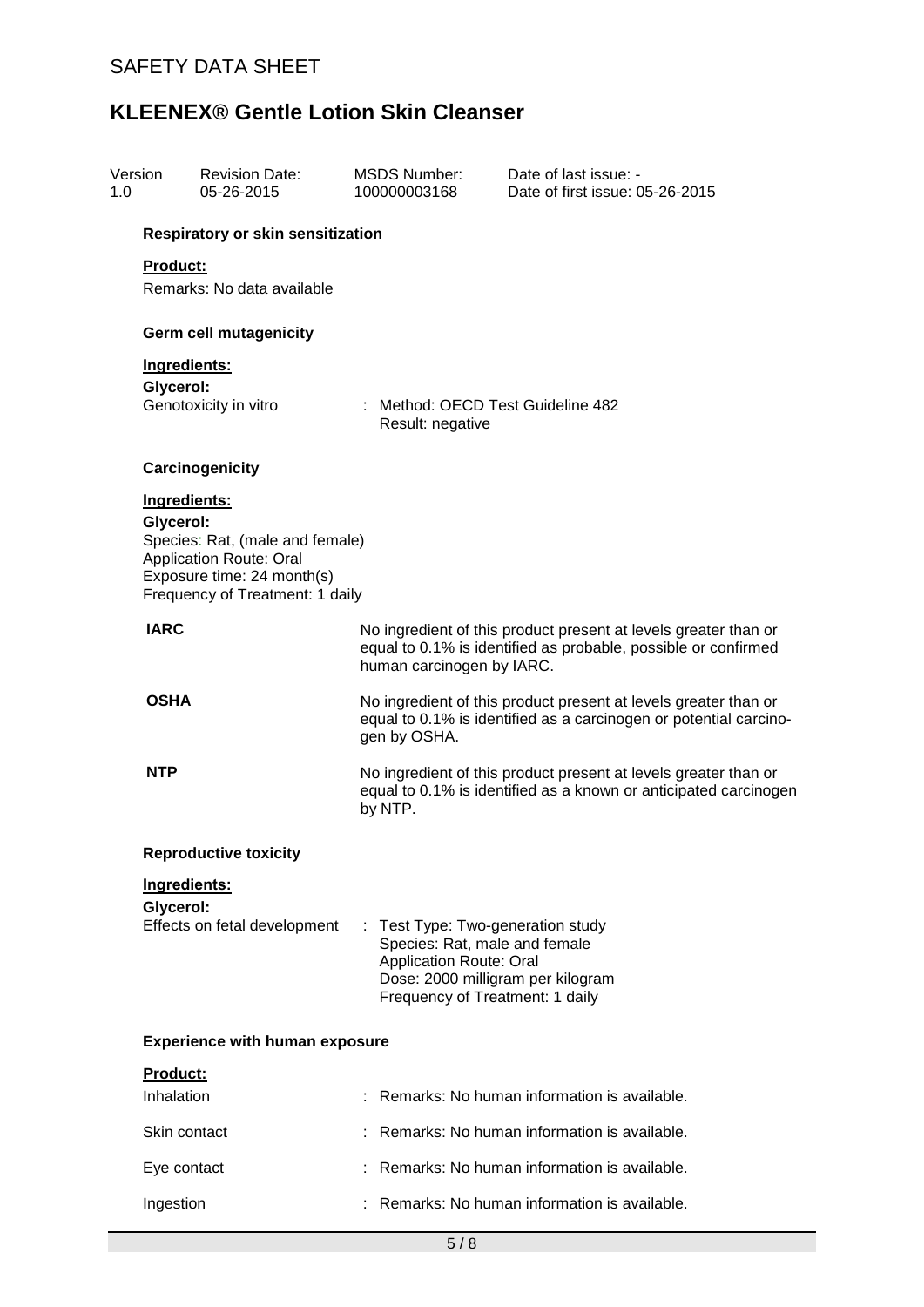| Version<br>1.0 | <b>Revision Date:</b><br>05-26-2015                                                                                                                             | <b>MSDS Number:</b><br>100000003168                                                                                                                                              | Date of last issue: -<br>Date of first issue: 05-26-2015 |  |  |  |
|----------------|-----------------------------------------------------------------------------------------------------------------------------------------------------------------|----------------------------------------------------------------------------------------------------------------------------------------------------------------------------------|----------------------------------------------------------|--|--|--|
|                | Respiratory or skin sensitization                                                                                                                               |                                                                                                                                                                                  |                                                          |  |  |  |
|                | <b>Product:</b><br>Remarks: No data available                                                                                                                   |                                                                                                                                                                                  |                                                          |  |  |  |
|                | <b>Germ cell mutagenicity</b>                                                                                                                                   |                                                                                                                                                                                  |                                                          |  |  |  |
|                | Ingredients:                                                                                                                                                    |                                                                                                                                                                                  |                                                          |  |  |  |
|                | Glycerol:<br>Genotoxicity in vitro                                                                                                                              | : Method: OECD Test Guideline 482<br>Result: negative                                                                                                                            |                                                          |  |  |  |
|                | Carcinogenicity                                                                                                                                                 |                                                                                                                                                                                  |                                                          |  |  |  |
|                | Ingredients:<br>Glycerol:<br>Species: Rat, (male and female)<br><b>Application Route: Oral</b><br>Exposure time: 24 month(s)<br>Frequency of Treatment: 1 daily |                                                                                                                                                                                  |                                                          |  |  |  |
| <b>IARC</b>    |                                                                                                                                                                 | No ingredient of this product present at levels greater than or<br>equal to 0.1% is identified as probable, possible or confirmed<br>human carcinogen by IARC.                   |                                                          |  |  |  |
| <b>OSHA</b>    |                                                                                                                                                                 | No ingredient of this product present at levels greater than or<br>equal to 0.1% is identified as a carcinogen or potential carcino-<br>gen by OSHA.                             |                                                          |  |  |  |
| <b>NTP</b>     |                                                                                                                                                                 | No ingredient of this product present at levels greater than or<br>equal to 0.1% is identified as a known or anticipated carcinogen<br>by NTP.                                   |                                                          |  |  |  |
|                | <b>Reproductive toxicity</b>                                                                                                                                    |                                                                                                                                                                                  |                                                          |  |  |  |
|                | Ingredients:                                                                                                                                                    |                                                                                                                                                                                  |                                                          |  |  |  |
|                | Glycerol:<br>Effects on fetal development                                                                                                                       | Test Type: Two-generation study<br>÷.<br>Species: Rat, male and female<br><b>Application Route: Oral</b><br>Dose: 2000 milligram per kilogram<br>Frequency of Treatment: 1 daily |                                                          |  |  |  |
|                | <b>Experience with human exposure</b>                                                                                                                           |                                                                                                                                                                                  |                                                          |  |  |  |
|                | Product:                                                                                                                                                        |                                                                                                                                                                                  |                                                          |  |  |  |
|                | Inhalation                                                                                                                                                      |                                                                                                                                                                                  | Remarks: No human information is available.              |  |  |  |
|                | Skin contact                                                                                                                                                    |                                                                                                                                                                                  | Remarks: No human information is available.              |  |  |  |
|                | Eye contact                                                                                                                                                     |                                                                                                                                                                                  | Remarks: No human information is available.              |  |  |  |
|                | Ingestion                                                                                                                                                       |                                                                                                                                                                                  | Remarks: No human information is available.              |  |  |  |
|                |                                                                                                                                                                 | 5/8                                                                                                                                                                              |                                                          |  |  |  |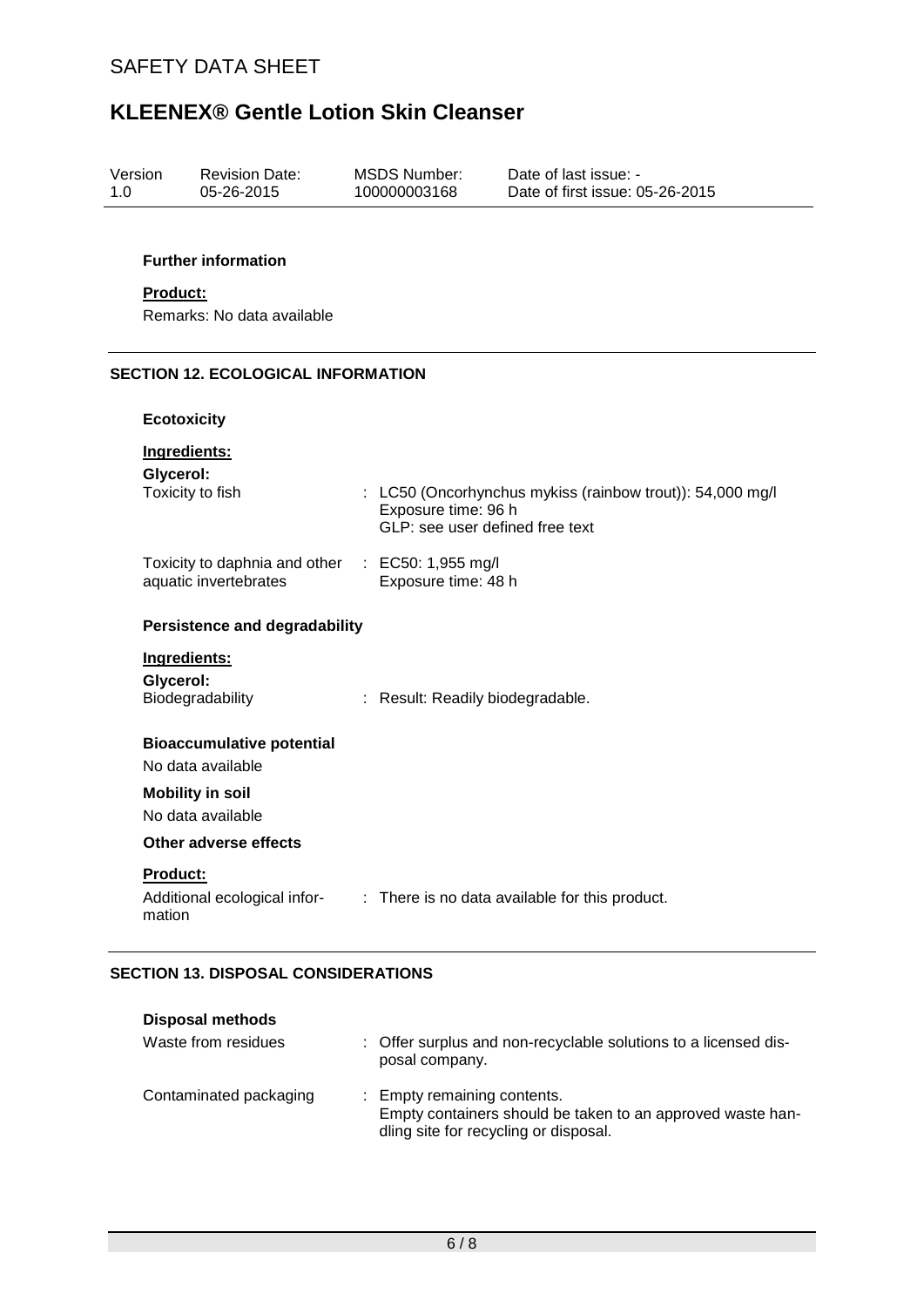| Version | <b>Revision Date:</b> | MSDS Number: | Date of last issue: -           |
|---------|-----------------------|--------------|---------------------------------|
| 1 O     | 05-26-2015            | 100000003168 | Date of first issue: 05-26-2015 |
|         |                       |              |                                 |

## **Further information**

#### **Product:**

Remarks: No data available

## **SECTION 12. ECOLOGICAL INFORMATION**

### **Ecotoxicity**

| Ingredients:                                                              |                                                                                                                     |
|---------------------------------------------------------------------------|---------------------------------------------------------------------------------------------------------------------|
| Glycerol:<br>Toxicity to fish                                             | : LC50 (Oncorhynchus mykiss (rainbow trout)): 54,000 mg/l<br>Exposure time: 96 h<br>GLP: see user defined free text |
| Toxicity to daphnia and other : EC50: 1,955 mg/l<br>aquatic invertebrates | Exposure time: 48 h                                                                                                 |
| <b>Persistence and degradability</b>                                      |                                                                                                                     |
| Ingredients:<br>Glycerol:<br>Biodegradability                             | : Result: Readily biodegradable.                                                                                    |
| <b>Bioaccumulative potential</b><br>No data available                     |                                                                                                                     |
| <b>Mobility in soil</b><br>No data available                              |                                                                                                                     |
| Other adverse effects                                                     |                                                                                                                     |
| Product:<br>Additional ecological infor-<br>mation                        | : There is no data available for this product.                                                                      |

#### **SECTION 13. DISPOSAL CONSIDERATIONS**

| <b>Disposal methods</b> |                                                                                                                                    |
|-------------------------|------------------------------------------------------------------------------------------------------------------------------------|
| Waste from residues     | : Offer surplus and non-recyclable solutions to a licensed dis-<br>posal company.                                                  |
| Contaminated packaging  | : Empty remaining contents.<br>Empty containers should be taken to an approved waste han-<br>dling site for recycling or disposal. |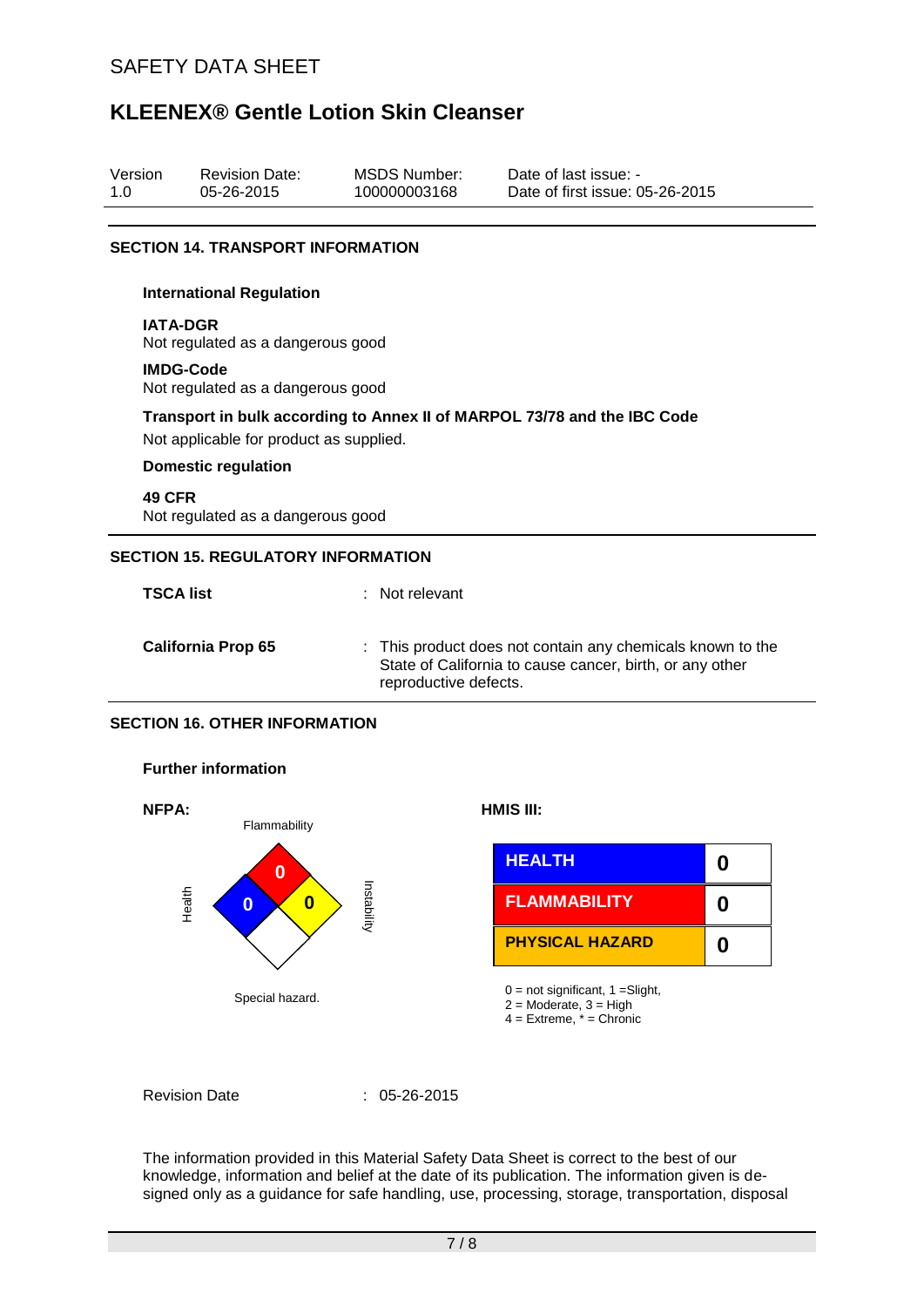Revision Date:

Version

# **KLEENEX® Gentle Lotion Skin Cleanser**

| 1.0 | 05-26-2015                                            | 100000003168          | Date of first issue: 05-26-2015                                                                                        |
|-----|-------------------------------------------------------|-----------------------|------------------------------------------------------------------------------------------------------------------------|
|     | <b>SECTION 14. TRANSPORT INFORMATION</b>              |                       |                                                                                                                        |
|     | <b>International Regulation</b>                       |                       |                                                                                                                        |
|     | <b>IATA-DGR</b><br>Not regulated as a dangerous good  |                       |                                                                                                                        |
|     | <b>IMDG-Code</b><br>Not regulated as a dangerous good |                       |                                                                                                                        |
|     | Not applicable for product as supplied.               |                       | Transport in bulk according to Annex II of MARPOL 73/78 and the IBC Code                                               |
|     | <b>Domestic regulation</b>                            |                       |                                                                                                                        |
|     | <b>49 CFR</b><br>Not regulated as a dangerous good    |                       |                                                                                                                        |
|     | <b>SECTION 15. REGULATORY INFORMATION</b>             |                       |                                                                                                                        |
|     | <b>TSCA list</b>                                      | Not relevant          |                                                                                                                        |
|     | <b>California Prop 65</b>                             | reproductive defects. | : This product does not contain any chemicals known to the<br>State of California to cause cancer, birth, or any other |
|     | <b>SECTION 16. OTHER INFORMATION</b>                  |                       |                                                                                                                        |
|     | <b>Further information</b>                            |                       |                                                                                                                        |

MSDS Number:

Date of last issue: -



Revision Date : 05-26-2015

The information provided in this Material Safety Data Sheet is correct to the best of our knowledge, information and belief at the date of its publication. The information given is designed only as a guidance for safe handling, use, processing, storage, transportation, disposal